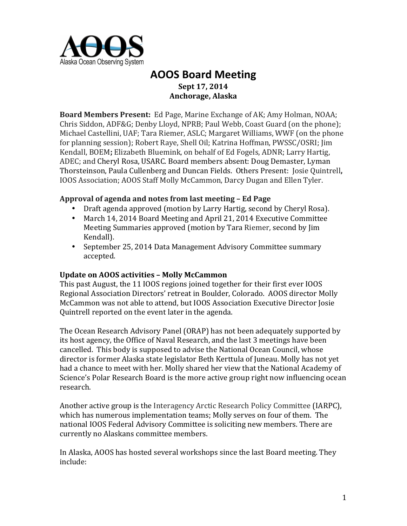

# **AOOS Board Meeting Sept 17, 2014 Anchorage, Alaska**

**Board Members Present:** Ed Page, Marine Exchange of AK; Amy Holman, NOAA; Chris Siddon, ADF&G; Denby Lloyd, NPRB; Paul Webb, Coast Guard (on the phone); Michael Castellini, UAF; Tara Riemer, ASLC; Margaret Williams, WWF (on the phone for planning session); Robert Raye, Shell Oil; Katrina Hoffman, PWSSC/OSRI; Jim Kendall, BOEM; Elizabeth Bluemink, on behalf of Ed Fogels, ADNR; Larry Hartig, ADEC; and Cheryl Rosa, USARC. Board members absent: Doug Demaster, Lyman Thorsteinson, Paula Cullenberg and Duncan Fields. Others Present: Josie Quintrell, IOOS Association; AOOS Staff Molly McCammon, Darcy Dugan and Ellen Tyler.

# **Approval of agenda and notes from last meeting – Ed Page**

- Draft agenda approved (motion by Larry Hartig, second by Cheryl Rosa).
- March 14, 2014 Board Meeting and April 21, 2014 Executive Committee Meeting Summaries approved (motion by Tara Riemer, second by Jim Kendall).
- September 25, 2014 Data Management Advisory Committee summary accepted.

#### **Update on AOOS activities - Molly McCammon**

This past August, the 11 IOOS regions joined together for their first ever IOOS Regional Association Directors' retreat in Boulder, Colorado. AOOS director Molly McCammon was not able to attend, but IOOS Association Executive Director Josie Ouintrell reported on the event later in the agenda.

The Ocean Research Advisory Panel (ORAP) has not been adequately supported by its host agency, the Office of Naval Research, and the last 3 meetings have been cancelled. This body is supposed to advise the National Ocean Council, whose director is former Alaska state legislator Beth Kerttula of Juneau. Molly has not vet had a chance to meet with her. Molly shared her view that the National Academy of Science's Polar Research Board is the more active group right now influencing ocean research. 

Another active group is the Interagency Arctic Research Policy Committee (IARPC), which has numerous implementation teams; Molly serves on four of them. The national IOOS Federal Advisory Committee is soliciting new members. There are currently no Alaskans committee members.

In Alaska, AOOS has hosted several workshops since the last Board meeting. They include: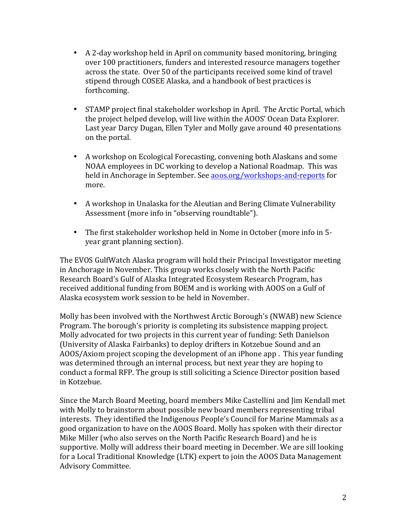- A 2-day workshop held in April on community based monitoring, bringing over 100 practitioners, funders and interested resource managers together across the state. Over 50 of the participants received some kind of travel stipend through COSEE Alaska, and a handbook of best practices is forthcoming.
- STAMP project final stakeholder workshop in April. The Arctic Portal, which the project helped develop, will live within the AOOS' Ocean Data Explorer. Last year Darcy Dugan, Ellen Tyler and Molly gave around 40 presentations on the portal.
- A workshop on Ecological Forecasting, convening both Alaskans and some NOAA employees in DC working to develop a National Roadmap. This was held in Anchorage in September. See aoos.org/workshops-and-reports for more.
- A workshop in Unalaska for the Aleutian and Bering Climate Vulnerability Assessment (more info in "observing roundtable").
- The first stakeholder workshop held in Nome in October (more info in 5year grant planning section).

The EVOS GulfWatch Alaska program will hold their Principal Investigator meeting in Anchorage in November. This group works closely with the North Pacific Research Board's Gulf of Alaska Integrated Ecosystem Research Program, has received additional funding from BOEM and is working with AOOS on a Gulf of Alaska ecosystem work session to be held in November.

Molly has been involved with the Northwest Arctic Borough's (NWAB) new Science Program. The borough's priority is completing its subsistence mapping project. Molly advocated for two projects in this current year of funding: Seth Danielson (University of Alaska Fairbanks) to deploy drifters in Kotzebue Sound and an AOOS/Axiom project scoping the development of an iPhone app. This year funding was determined through an internal process, but next year they are hoping to conduct a formal RFP. The group is still soliciting a Science Director position based in Kotzebue.

Since the March Board Meeting, board members Mike Castellini and Jim Kendall met with Molly to brainstorm about possible new board members representing tribal interests. They identified the Indigenous People's Council for Marine Mammals as a good organization to have on the AOOS Board. Molly has spoken with their director Mike Miller (who also serves on the North Pacific Research Board) and he is supportive. Molly will address their board meeting in December. We are sill looking for a Local Traditional Knowledge (LTK) expert to join the AOOS Data Management Advisory Committee.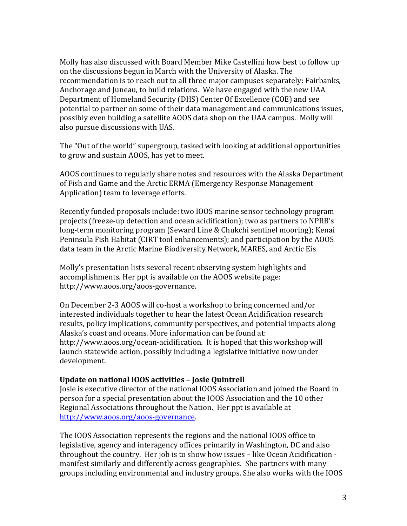Molly has also discussed with Board Member Mike Castellini how best to follow up on the discussions begun in March with the University of Alaska. The recommendation is to reach out to all three major campuses separately: Fairbanks, Anchorage and Juneau, to build relations. We have engaged with the new UAA Department of Homeland Security (DHS) Center Of Excellence (COE) and see potential to partner on some of their data management and communications issues, possibly even building a satellite AOOS data shop on the UAA campus. Molly will also pursue discussions with UAS.

The "Out of the world" supergroup, tasked with looking at additional opportunities to grow and sustain AOOS, has yet to meet.

AOOS continues to regularly share notes and resources with the Alaska Department of Fish and Game and the Arctic ERMA (Emergency Response Management Application) team to leverage efforts.

Recently funded proposals include: two IOOS marine sensor technology program projects (freeze-up detection and ocean acidification); two as partners to NPRB's long-term monitoring program (Seward Line & Chukchi sentinel mooring); Kenai Peninsula Fish Habitat (CIRT tool enhancements); and participation by the AOOS data team in the Arctic Marine Biodiversity Network, MARES, and Arctic Eis

Molly's presentation lists several recent observing system highlights and accomplishments. Her ppt is available on the AOOS website page: http://www.aoos.org/aoos-governance.

On December 2-3 AOOS will co-host a workshop to bring concerned and/or interested individuals together to hear the latest Ocean Acidification research results, policy implications, community perspectives, and potential impacts along Alaska's coast and oceans. More information can be found at: http://www.aoos.org/ocean-acidification. It is hoped that this workshop will launch statewide action, possibly including a legislative initiative now under development. 

#### **Update on national IOOS activities - Josie Quintrell**

Josie is executive director of the national IOOS Association and joined the Board in person for a special presentation about the IOOS Association and the 10 other Regional Associations throughout the Nation. Her ppt is available at http://www.aoos.org/aoos-governance.

The IOOS Association represents the regions and the national IOOS office to legislative, agency and interagency offices primarily in Washington, DC and also throughout the country. Her job is to show how issues - like Ocean Acidification manifest similarly and differently across geographies. She partners with many groups including environmental and industry groups. She also works with the IOOS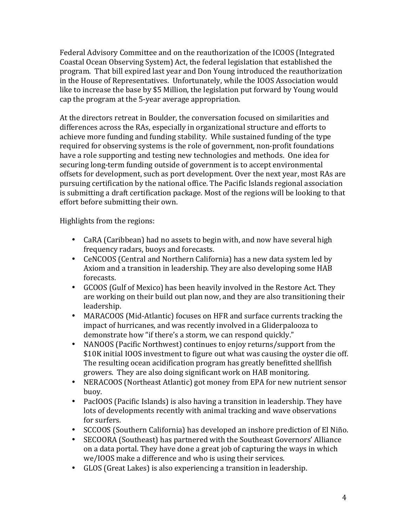Federal Advisory Committee and on the reauthorization of the ICOOS (Integrated Coastal Ocean Observing System) Act, the federal legislation that established the program. That bill expired last year and Don Young introduced the reauthorization in the House of Representatives. Unfortunately, while the IOOS Association would like to increase the base by \$5 Million, the legislation put forward by Young would cap the program at the 5-year average appropriation.

At the directors retreat in Boulder, the conversation focused on similarities and differences across the RAs, especially in organizational structure and efforts to achieve more funding and funding stability. While sustained funding of the type required for observing systems is the role of government, non-profit foundations have a role supporting and testing new technologies and methods. One idea for securing long-term funding outside of government is to accept environmental offsets for development, such as port development. Over the next year, most RAs are pursuing certification by the national office. The Pacific Islands regional association is submitting a draft certification package. Most of the regions will be looking to that effort before submitting their own.

Highlights from the regions:

- CaRA (Caribbean) had no assets to begin with, and now have several high frequency radars, buoys and forecasts.
- CeNCOOS (Central and Northern California) has a new data system led by Axiom and a transition in leadership. They are also developing some HAB forecasts.
- GCOOS (Gulf of Mexico) has been heavily involved in the Restore Act. They are working on their build out plan now, and they are also transitioning their leadership.
- MARACOOS (Mid-Atlantic) focuses on HFR and surface currents tracking the impact of hurricanes, and was recently involved in a Gliderpalooza to demonstrate how "if there's a storm, we can respond quickly."
- NANOOS (Pacific Northwest) continues to enjoy returns/support from the \$10K initial IOOS investment to figure out what was causing the oyster die off. The resulting ocean acidification program has greatly benefitted shellfish growers. They are also doing significant work on HAB monitoring.
- NERACOOS (Northeast Atlantic) got money from EPA for new nutrient sensor buoy.
- PacIOOS (Pacific Islands) is also having a transition in leadership. They have lots of developments recently with animal tracking and wave observations for surfers.
- SCCOOS (Southern California) has developed an inshore prediction of El Niño.
- SECOORA (Southeast) has partnered with the Southeast Governors' Alliance on a data portal. They have done a great job of capturing the ways in which we/IOOS make a difference and who is using their services.
- GLOS (Great Lakes) is also experiencing a transition in leadership.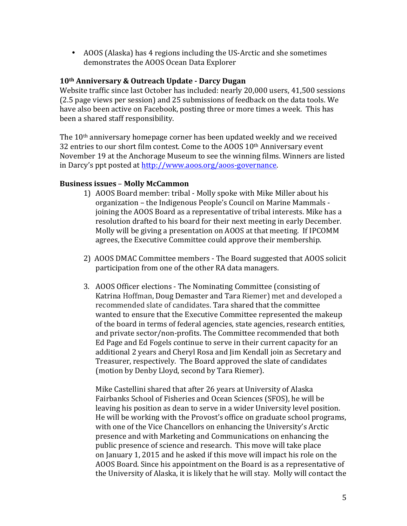• AOOS (Alaska) has 4 regions including the US-Arctic and she sometimes demonstrates the AOOS Ocean Data Explorer

# **10th Anniversary & Outreach Update - Darcy Dugan**

Website traffic since last October has included: nearly 20,000 users, 41,500 sessions (2.5 page views per session) and 25 submissions of feedback on the data tools. We have also been active on Facebook, posting three or more times a week. This has been a shared staff responsibility.

The  $10<sup>th</sup>$  anniversary homepage corner has been updated weekly and we received 32 entries to our short film contest. Come to the AOOS  $10<sup>th</sup>$  Anniversary event November 19 at the Anchorage Museum to see the winning films. Winners are listed in Darcy's ppt posted at http://www.aoos.org/aoos-governance.

# **Business issues** – **Molly McCammon**

- 1) AOOS Board member: tribal Molly spoke with Mike Miller about his organization – the Indigenous People's Council on Marine Mammals joining the AOOS Board as a representative of tribal interests. Mike has a resolution drafted to his board for their next meeting in early December. Molly will be giving a presentation on AOOS at that meeting. If IPCOMM agrees, the Executive Committee could approve their membership.
- 2) AOOS DMAC Committee members The Board suggested that AOOS solicit participation from one of the other RA data managers.
- 3. AOOS Officer elections The Nominating Committee (consisting of Katrina Hoffman, Doug Demaster and Tara Riemer) met and developed a recommended slate of candidates. Tara shared that the committee wanted to ensure that the Executive Committee represented the makeup of the board in terms of federal agencies, state agencies, research entities, and private sector/non-profits. The Committee recommended that both Ed Page and Ed Fogels continue to serve in their current capacity for an additional 2 years and Cheryl Rosa and Jim Kendall join as Secretary and Treasurer, respectively. The Board approved the slate of candidates (motion by Denby Lloyd, second by Tara Riemer).

Mike Castellini shared that after 26 years at University of Alaska Fairbanks School of Fisheries and Ocean Sciences (SFOS), he will be leaving his position as dean to serve in a wider University level position. He will be working with the Provost's office on graduate school programs, with one of the Vice Chancellors on enhancing the University's Arctic presence and with Marketing and Communications on enhancing the public presence of science and research. This move will take place on January 1, 2015 and he asked if this move will impact his role on the AOOS Board. Since his appointment on the Board is as a representative of the University of Alaska, it is likely that he will stay. Molly will contact the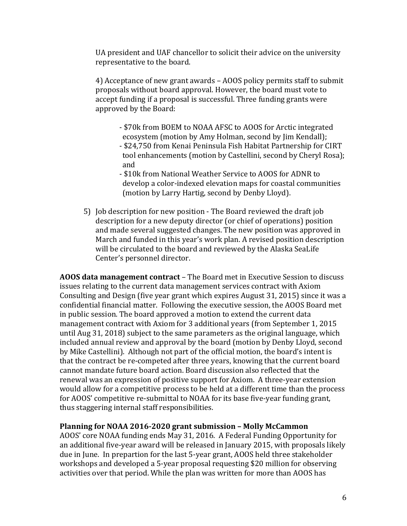UA president and UAF chancellor to solicit their advice on the university representative to the board.

4) Acceptance of new grant awards – AOOS policy permits staff to submit proposals without board approval. However, the board must vote to accept funding if a proposal is successful. Three funding grants were approved by the Board:

- \$70k from BOEM to NOAA AFSC to AOOS for Arctic integrated ecosystem (motion by Amy Holman, second by Jim Kendall); - \$24,750 from Kenai Peninsula Fish Habitat Partnership for CIRT tool enhancements (motion by Castellini, second by Cheryl Rosa); and

- \$10k from National Weather Service to AOOS for ADNR to develop a color-indexed elevation maps for coastal communities (motion by Larry Hartig, second by Denby Lloyd).

5) Job description for new position - The Board reviewed the draft job description for a new deputy director (or chief of operations) position and made several suggested changes. The new position was approved in March and funded in this year's work plan. A revised position description will be circulated to the board and reviewed by the Alaska SeaLife Center's personnel director.

**AOOS** data management contract – The Board met in Executive Session to discuss issues relating to the current data management services contract with Axiom Consulting and Design (five year grant which expires August 31, 2015) since it was a confidential financial matter. Following the executive session, the AOOS Board met in public session. The board approved a motion to extend the current data management contract with Axiom for 3 additional years (from September 1, 2015) until Aug 31, 2018) subject to the same parameters as the original language, which included annual review and approval by the board (motion by Denby Lloyd, second by Mike Castellini). Although not part of the official motion, the board's intent is that the contract be re-competed after three years, knowing that the current board cannot mandate future board action. Board discussion also reflected that the renewal was an expression of positive support for Axiom. A three-year extension would allow for a competitive process to be held at a different time than the process for AOOS' competitive re-submittal to NOAA for its base five-year funding grant, thus staggering internal staff responsibilities.

#### **Planning for NOAA 2016-2020 grant submission - Molly McCammon**

AOOS' core NOAA funding ends May 31, 2016. A Federal Funding Opportunity for an additional five-year award will be released in January 2015, with proposals likely due in June. In prepartion for the last 5-year grant, AOOS held three stakeholder workshops and developed a 5-year proposal requesting \$20 million for observing activities over that period. While the plan was written for more than AOOS has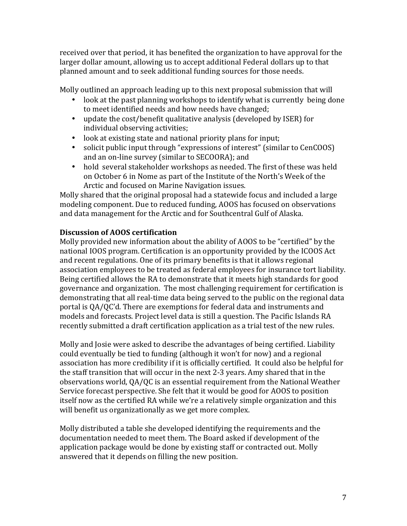received over that period, it has benefited the organization to have approval for the larger dollar amount, allowing us to accept additional Federal dollars up to that planned amount and to seek additional funding sources for those needs.

Molly outlined an approach leading up to this next proposal submission that will

- look at the past planning workshops to identify what is currently being done to meet identified needs and how needs have changed;
- update the cost/benefit qualitative analysis (developed by ISER) for individual observing activities;
- look at existing state and national priority plans for input;
- solicit public input through "expressions of interest" (similar to CenCOOS) and an on-line survey (similar to SECOORA); and
- hold several stakeholder workshops as needed. The first of these was held on October 6 in Nome as part of the Institute of the North's Week of the Arctic and focused on Marine Navigation issues.

Molly shared that the original proposal had a statewide focus and included a large modeling component. Due to reduced funding, AOOS has focused on observations and data management for the Arctic and for Southcentral Gulf of Alaska.

# **Discussion of AOOS certification**

Molly provided new information about the ability of AOOS to be "certified" by the national IOOS program. Certification is an opportunity provided by the ICOOS Act and recent regulations. One of its primary benefits is that it allows regional association employees to be treated as federal employees for insurance tort liability. Being certified allows the RA to demonstrate that it meets high standards for good governance and organization. The most challenging requirement for certification is demonstrating that all real-time data being served to the public on the regional data portal is QA/QC'd. There are exemptions for federal data and instruments and models and forecasts. Project level data is still a question. The Pacific Islands RA recently submitted a draft certification application as a trial test of the new rules.

Molly and Josie were asked to describe the advantages of being certified. Liability could eventually be tied to funding (although it won't for now) and a regional association has more credibility if it is officially certified. It could also be helpful for the staff transition that will occur in the next 2-3 years. Amy shared that in the observations world, QA/QC is an essential requirement from the National Weather Service forecast perspective. She felt that it would be good for AOOS to position itself now as the certified RA while we're a relatively simple organization and this will benefit us organizationally as we get more complex.

Molly distributed a table she developed identifying the requirements and the documentation needed to meet them. The Board asked if development of the application package would be done by existing staff or contracted out. Molly answered that it depends on filling the new position.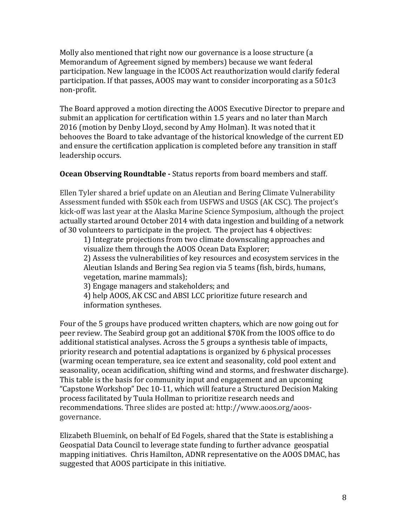Molly also mentioned that right now our governance is a loose structure (a Memorandum of Agreement signed by members) because we want federal participation. New language in the ICOOS Act reauthorization would clarify federal participation. If that passes, AOOS may want to consider incorporating as a  $501c3$ non-profit. 

The Board approved a motion directing the AOOS Executive Director to prepare and submit an application for certification within 1.5 years and no later than March 2016 (motion by Denby Lloyd, second by Amy Holman). It was noted that it behooves the Board to take advantage of the historical knowledge of the current ED and ensure the certification application is completed before any transition in staff leadership occurs.

# **Ocean Observing Roundtable -** Status reports from board members and staff.

Ellen Tyler shared a brief update on an Aleutian and Bering Climate Vulnerability Assessment funded with \$50k each from USFWS and USGS (AK CSC). The project's kick-off was last year at the Alaska Marine Science Symposium, although the project actually started around October 2014 with data ingestion and building of a network of 30 volunteers to participate in the project. The project has 4 objectives:

1) Integrate projections from two climate downscaling approaches and visualize them through the AOOS Ocean Data Explorer;

2) Assess the vulnerabilities of key resources and ecosystem services in the Aleutian Islands and Bering Sea region via 5 teams (fish, birds, humans, vegetation, marine mammals);

3) Engage managers and stakeholders; and

4) help AOOS, AK CSC and ABSI LCC prioritize future research and information syntheses.

Four of the 5 groups have produced written chapters, which are now going out for peer review. The Seabird group got an additional \$70K from the IOOS office to do additional statistical analyses. Across the 5 groups a synthesis table of impacts, priority research and potential adaptations is organized by 6 physical processes (warming ocean temperature, sea ice extent and seasonality, cold pool extent and seasonality, ocean acidification, shifting wind and storms, and freshwater discharge). This table is the basis for community input and engagement and an upcoming "Capstone Workshop" Dec 10-11, which will feature a Structured Decision Making process facilitated by Tuula Hollman to prioritize research needs and recommendations. Three slides are posted at: http://www.aoos.org/aoosgovernance. 

Elizabeth Bluemink, on behalf of Ed Fogels, shared that the State is establishing a Geospatial Data Council to leverage state funding to further advance geospatial mapping initiatives. Chris Hamilton, ADNR representative on the AOOS DMAC, has suggested that AOOS participate in this initiative.